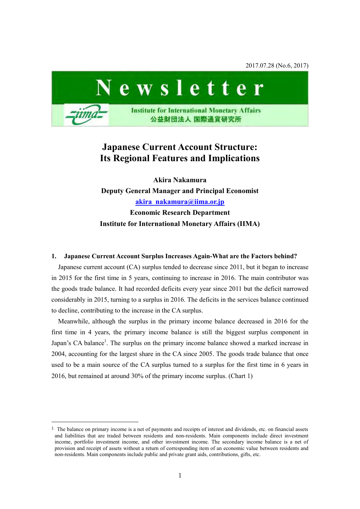2017.07.28 (No.6, 2017)



# **Japanese Current Account Structure: Its Regional Features and Implications**

**Akira Nakamura Deputy General Manager and Principal Economist [akira\\_nakamura@iima.or.jp](mailto:akira_nakamura@iima.or.jp)  Economic Research Department Institute for International Monetary Affairs (IIMA)**

### **1. Japanese Current Account Surplus Increases Again-What are the Factors behind?**

Japanese current account (CA) surplus tended to decrease since 2011, but it began to increase in 2015 for the first time in 5 years, continuing to increase in 2016. The main contributor was the goods trade balance. It had recorded deficits every year since 2011 but the deficit narrowed considerably in 2015, turning to a surplus in 2016. The deficits in the services balance continued to decline, contributing to the increase in the CA surplus.

Meanwhile, although the surplus in the primary income balance decreased in 2016 for the first time in 4 years, the primary income balance is still the biggest surplus component in Japan's CA balance<sup>1</sup>. The surplus on the primary income balance showed a marked increase in 2004, accounting for the largest share in the CA since 2005. The goods trade balance that once used to be a main source of the CA surplus turned to a surplus for the first time in 6 years in 2016, but remained at around 30% of the primary income surplus. (Chart 1)

-

 $<sup>1</sup>$  The balance on primary income is a net of payments and receipts of interest and dividends, etc. on financial assets</sup> and liabilities that are traded between residents and non-residents. Main components include direct investment income, portfolio investment income, and other investment income. The secondary income balance is a net of provision and receipt of assets without a return of corresponding item of an economic value between residents and non-residents. Main components include public and private grant aids, contributions, gifts, etc.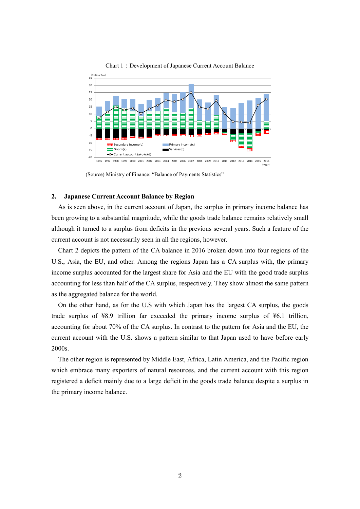

Chart 1:Development of Japanese Current Account Balance

(Source) Ministry of Finance: "Balance of Payments Statistics"

### **2. Japanese Current Account Balance by Region**

As is seen above, in the current account of Japan, the surplus in primary income balance has been growing to a substantial magnitude, while the goods trade balance remains relatively small although it turned to a surplus from deficits in the previous several years. Such a feature of the current account is not necessarily seen in all the regions, however.

Chart 2 depicts the pattern of the CA balance in 2016 broken down into four regions of the U.S., Asia, the EU, and other. Among the regions Japan has a CA surplus with, the primary income surplus accounted for the largest share for Asia and the EU with the good trade surplus accounting for less than half of the CA surplus, respectively. They show almost the same pattern as the aggregated balance for the world.

On the other hand, as for the U.S with which Japan has the largest CA surplus, the goods trade surplus of ¥8.9 trillion far exceeded the primary income surplus of ¥6.1 trillion, accounting for about 70% of the CA surplus. In contrast to the pattern for Asia and the EU, the current account with the U.S. shows a pattern similar to that Japan used to have before early 2000s.

The other region is represented by Middle East, Africa, Latin America, and the Pacific region which embrace many exporters of natural resources, and the current account with this region registered a deficit mainly due to a large deficit in the goods trade balance despite a surplus in the primary income balance.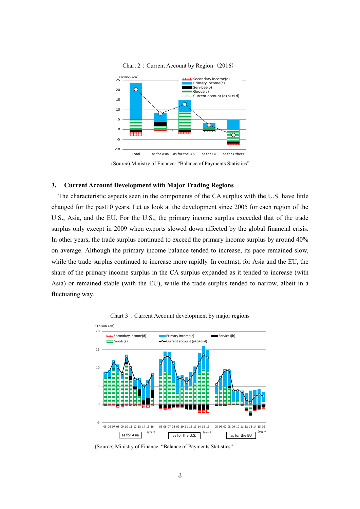

Chart 2: Current Account by Region (2016)

(Source) Ministry of Finance: "Balance of Payments Statistics"

# **3. Current Account Development with Major Trading Regions**

The characteristic aspects seen in the components of the CA surplus with the U.S. have little changed for the past10 years. Let us look at the development since 2005 for each region of the U.S., Asia, and the EU. For the U.S., the primary income surplus exceeded that of the trade surplus only except in 2009 when exports slowed down affected by the global financial crisis. In other years, the trade surplus continued to exceed the primary income surplus by around 40% on average. Although the primary income balance tended to increase, its pace remained slow, while the trade surplus continued to increase more rapidly. In contrast, for Asia and the EU, the share of the primary income surplus in the CA surplus expanded as it tended to increase (with Asia) or remained stable (with the EU), while the trade surplus tended to narrow, albeit in a fluctuating way.





(Source) Ministry of Finance: "Balance of Payments Statistics"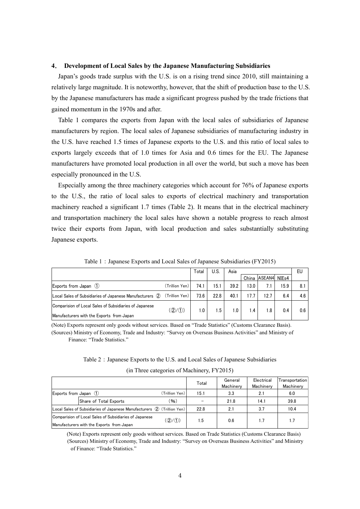## **4**. **Development of Local Sales by the Japanese Manufacturing Subsidiaries**

Japan's goods trade surplus with the U.S. is on a rising trend since 2010, still maintaining a relatively large magnitude. It is noteworthy, however, that the shift of production base to the U.S. by the Japanese manufacturers has made a significant progress pushed by the trade frictions that gained momentum in the 1970s and after.

Table 1 compares the exports from Japan with the local sales of subsidiaries of Japanese manufacturers by region. The local sales of Japanese subsidiaries of manufacturing industry in the U.S. have reached 1.5 times of Japanese exports to the U.S. and this ratio of local sales to exports largely exceeds that of 1.0 times for Asia and 0.6 times for the EU. The Japanese manufacturers have promoted local production in all over the world, but such a move has been especially pronounced in the U.S.

Especially among the three machinery categories which account for 76% of Japanese exports to the U.S., the ratio of local sales to exports of electrical machinery and transportation machinery reached a significant 1.7 times (Table 2). It means that in the electrical machinery and transportation machinery the local sales have shown a notable progress to reach almost twice their exports from Japan, with local production and sales substantially substituting Japanese exports.

| Japanese exports.                                                                                           |                |       |      |      |       |              |      |     |  |  |  |  |  |
|-------------------------------------------------------------------------------------------------------------|----------------|-------|------|------|-------|--------------|------|-----|--|--|--|--|--|
| Table 1: Japanese Exports and Local Sales of Japanese Subsidiaries (FY2015)                                 |                |       |      |      |       |              |      |     |  |  |  |  |  |
|                                                                                                             |                | Total | U.S. | Asia |       |              |      | EU  |  |  |  |  |  |
|                                                                                                             |                |       |      |      | China | ASEAN4 NIEs4 |      |     |  |  |  |  |  |
| Exports from Japan (1)                                                                                      | (Trillion Yen) | 74.1  | 15.1 | 39.2 | 13.0  | 7.1          | 15.9 | 8.1 |  |  |  |  |  |
| Local Sales of Subsidiaries of Japanese Manufacturers (2)                                                   | (Trillion Yen) | 73.6  | 22.8 | 40.1 | 17.7  | 12.7         | 6.4  | 4.6 |  |  |  |  |  |
| <b>IComparision of Local Sales of Subsidiaries of Japanese</b><br>Manufacturers with the Exports from Japan | (2/1)          | 1.0   | 1.5  | 1.0  | 1.4   | 1.8          | 0.4  | 0.6 |  |  |  |  |  |

Table 1: Japanese Exports and Local Sales of Japanese Subsidiaries (FY2015)

(Note) Exports represent only goods without services. Based on "Trade Statistics" (Customs Clearance Basis). (Sources) Ministry of Economy, Trade and Industry: "Survey on Overseas Business Activities" and Ministry of Finance: "Trade Statistics."

Table 2:Japanese Exports to the U.S. and Local Sales of Japanese Subsidiaries (in Three categories of Machinery, FY2015)

| Twore $\mu$ , supurfold through to the $\sigma$ and hotel bares of supurfold buosition for |                                                                                                     |                |       |                      |                         |                             |  |  |  |  |  |
|--------------------------------------------------------------------------------------------|-----------------------------------------------------------------------------------------------------|----------------|-------|----------------------|-------------------------|-----------------------------|--|--|--|--|--|
| (in Three categories of Machinery, FY2015)                                                 |                                                                                                     |                |       |                      |                         |                             |  |  |  |  |  |
|                                                                                            |                                                                                                     |                | Total | General<br>Machinery | Electrical<br>Machinery | Transportation<br>Machinery |  |  |  |  |  |
| Exports from Japan (1)                                                                     |                                                                                                     | (Trillion Yen) | 15.1  | 3.3                  | 2.1                     | 6.0                         |  |  |  |  |  |
|                                                                                            | Share of Total Exports                                                                              | (96)           |       | 21.8                 | 14.1                    | 39.8                        |  |  |  |  |  |
|                                                                                            | Local Sales of Subsidiaries of Japanese Manufacturers (2) (Trillion Yen)                            |                | 22.8  | 2.1                  | 3.7                     | 10.4                        |  |  |  |  |  |
|                                                                                            | Comparision of Local Sales of Subsidiaries of Japanese<br>Manufacturers with the Exports from Japan | (Q/(1))        | 1.5   | 0.6                  | 1.7                     | 1.7                         |  |  |  |  |  |

(Note) Exports represent only goods without services. Based on Trade Statistics (Customs Clearance Basis) (Sources) Ministry of Economy, Trade and Industry: "Survey on Overseas Business Activities" and Ministry of Finance: "Trade Statistics."